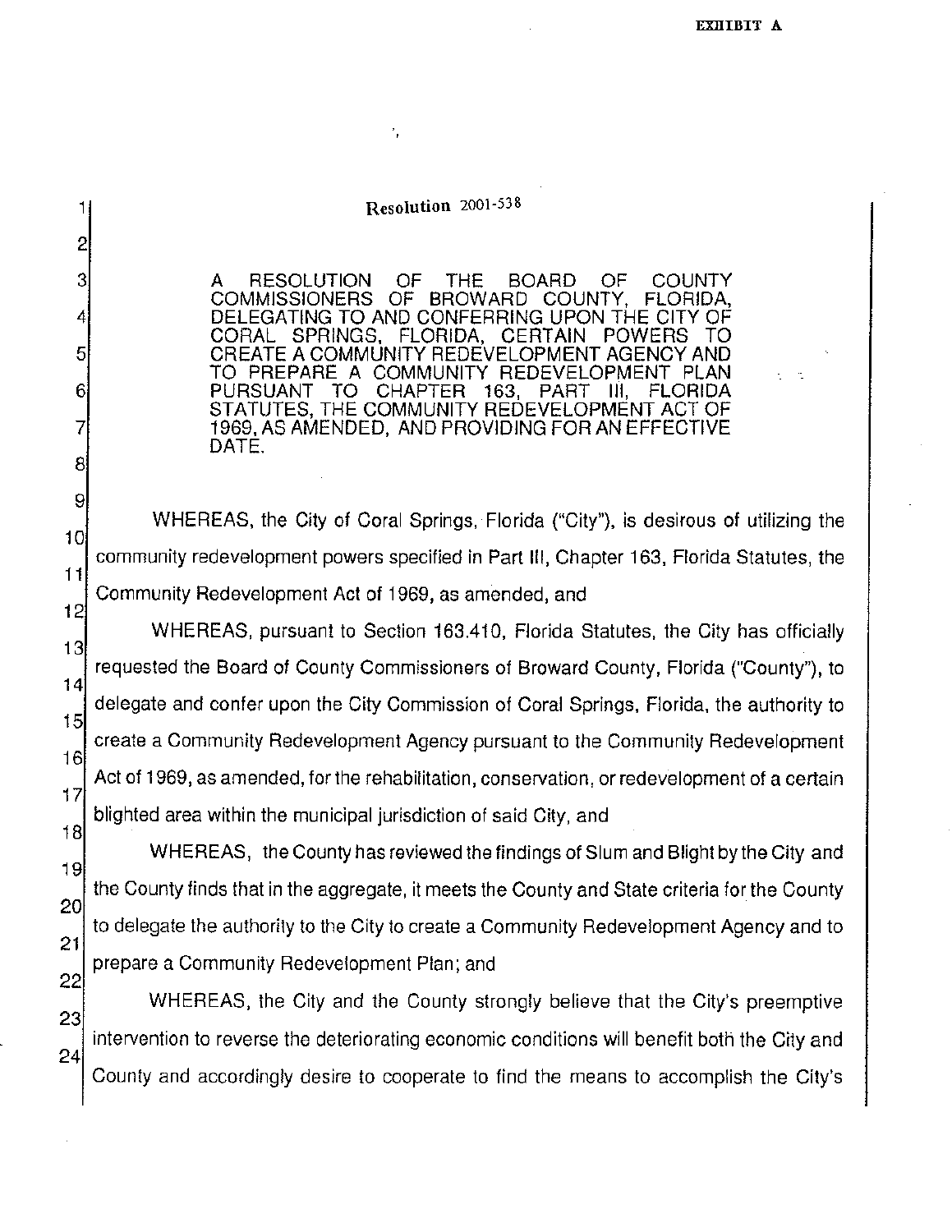## **Resolution 2001-538**

1

2

3

4

5

6

7

8

10

11

A RESOLUTION OF THE BOARD OF COUNTY<br>COMMISSIONERS OF BROWARD COUNTY, FLORIDA, BROWARD COUNTY, DELEGATING TO AND CONFERRING UPON THE CITY OF<br>CORAL SPRINGS, FLORIDA, CERTAIN POWERS TO FLORIDA, CERTAIN POWERS TO CREATE A COMMUNITY REDEVELOPMENT AGENCY AND TO PREPARE A COMMUNITY REDEVELOPMENT PLAN<br>PURSUANT TO CHAPTER 163, PART III, FLORIDA CHAPTER 163, STATUTES, THE COMMUNITY REDEVELOPMENT ACT OF 1969, AS AMENDED, AND PROVIDING FOR AN EFFECTIVE DATE.

9 WHEREAS, the City of Coral Springs, Florida ("City"), is desirous of utilizing the community redevelopment powers specified in Part Ill, Chapter 163, Florida Statutes, the Community Redevelopment Act of 1969, as amended, and

12 WHEREAS, pursuant to Section 163.410, Florida Statutes, the City has officially 13 requested the Board of County Commissioners of Broward County, Florida ("County"), to 14 delegate and confer upon the City Commission of Coral Springs, Florida, the authority to 15 create a Community Redevelopment Agency pursuant to the Community Redevelopment 16 Act of 1969, as amended, for the rehabilitation, conservation, or redevelopment of a certain  $17$ blighted area within the municipal jurisdiction of said City, and 18

WHEREAS, the County has reviewed the findings of Slum and Blight by the City and 19 the County finds that in the aggregate, it meets the County and State criteria for the County 20 to delegate the authority to the City to create a Community Redevelopment Agency and to  $21$ prepare a Community Redevelopment Plan; and 22

23 24 WHEREAS, the City and the County strongly believe that the City's preemptive intervention to reverse the deteriorating economic conditions will benefit both the City and County and accordingly desire to cooperate to find the means to accomplish the City's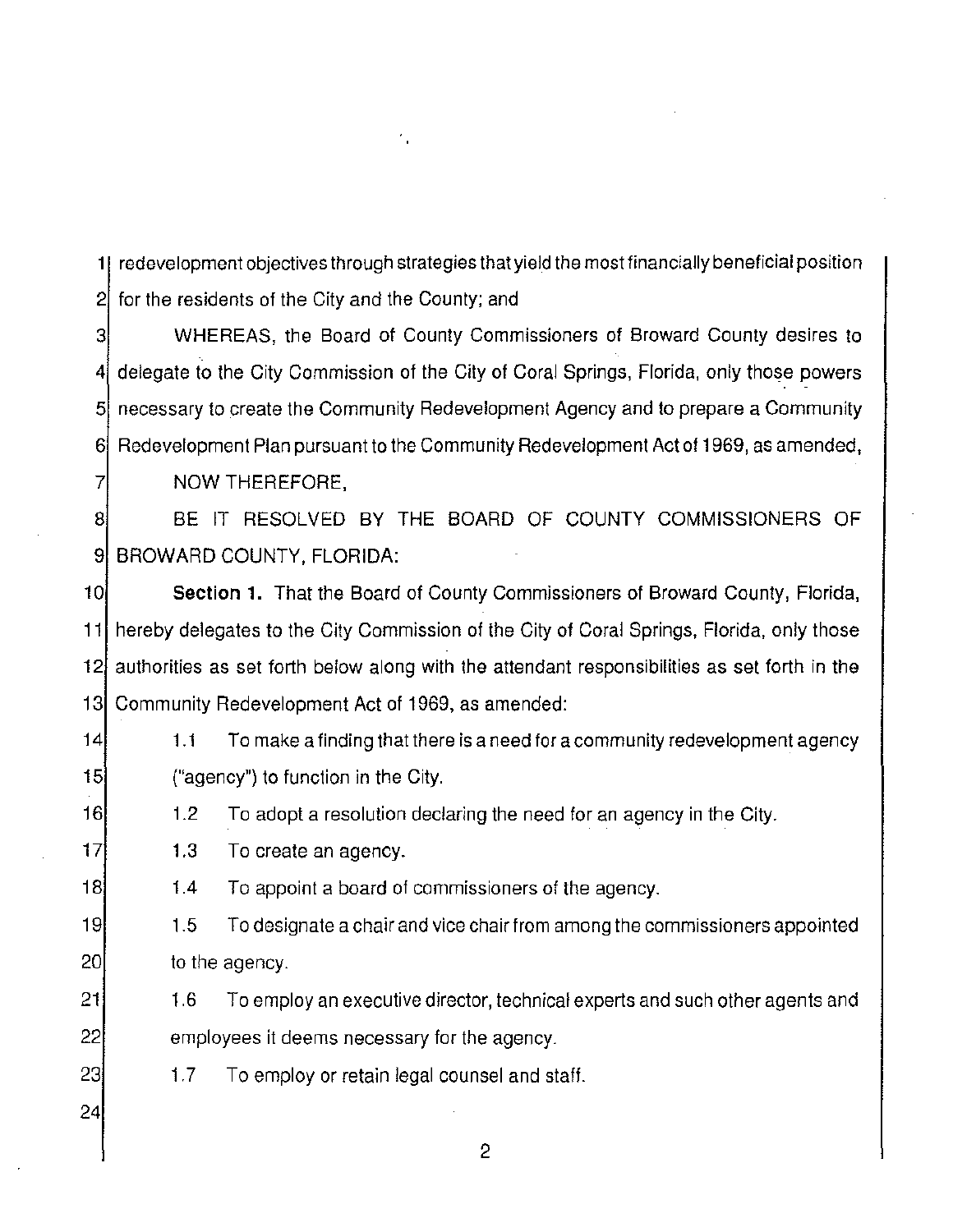**1**  redevelopment objectives through strategies that yield the most financially beneficial position 2 for the residents of the City and the County; and

3 4 5| necessary to create the Community Redevelopment Agency and to prepare a Community 6] Redevelopment Plan pursuant to the Community Redevelopment Act of 1969, as amended, 7 WHEREAS, the Board of County Commissioners of Broward County desires to delegate to the City Commission of the City of Coral Springs, Florida, only those powers NOW THEREFORE,

8 9 BROWARD COUNTY, FLORIDA: BE IT RESOLVED BY THE BOARD OF COUNTY COMMISSIONERS OF

10 11 12 13 Community Redevelopment Act of 1969, as amended: **Section 1.** That the Board of County Commissioners of Broward County, Florida, hereby delegates to the City Commission of the City of Coral Springs, Florida, only those authorities as set forth below along with the attendant responsibilities as set forth in the

- 14 15 1.1 To make a finding that there is a need for a community redevelopment agency ("agency") to function in the City.
- 16 1.2 To adopt a resolution declaring the need for an agency in the City.
- 17 1.3 To create an agency.
- 18 1.4 To appoint a board of commissioners of the agency.

19 20 1.5 To designate a chair and vice chair from among the commissioners appointed to the agency.

- 21 22 1.6 To employ an executive director, technical experts and such other agents and employees it deems necessary for the agency.
	- 1.7 To employ or retain legal counsel and staff.
- 24

23

2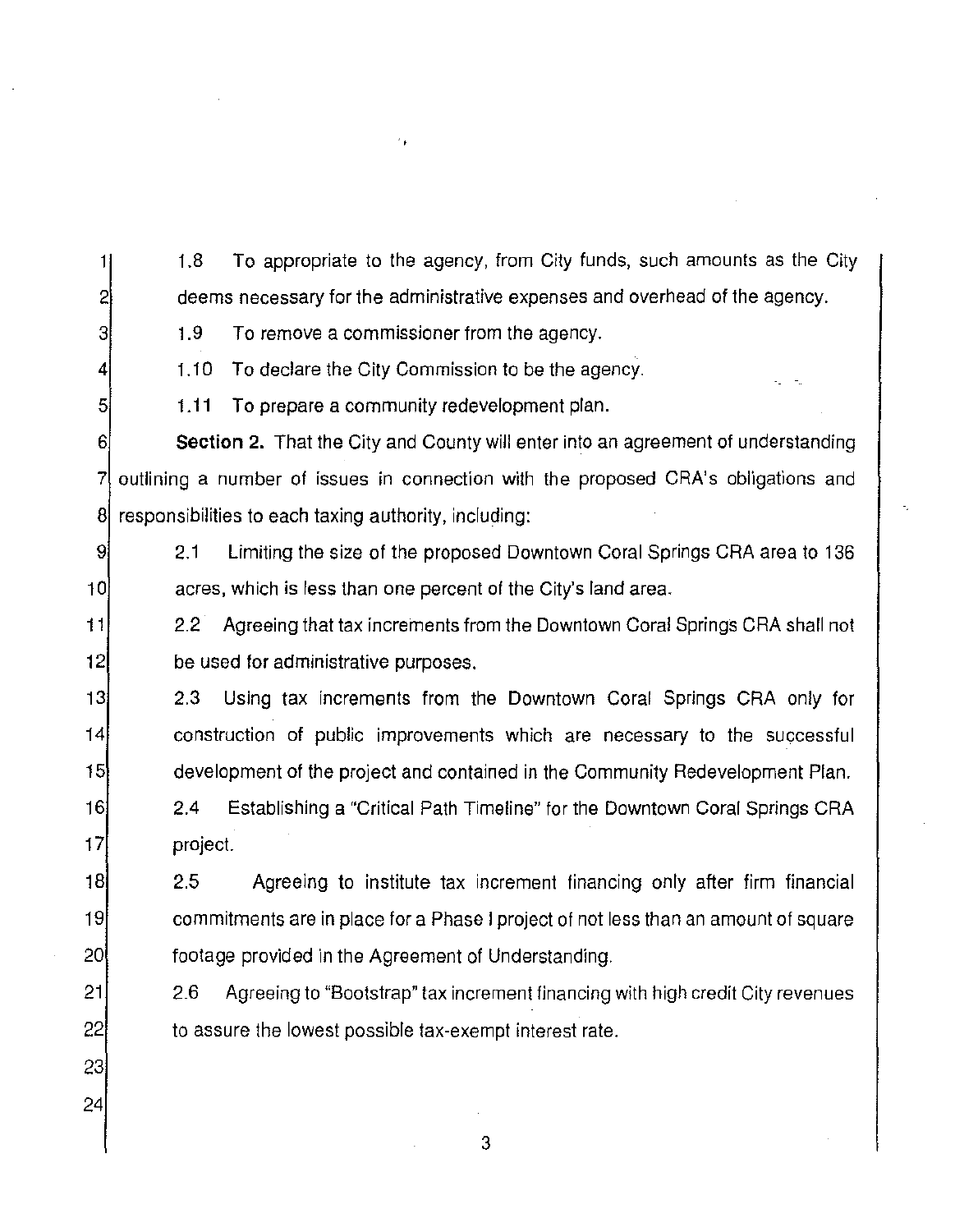1.8 To appropriate to the agency, from City funds, such amounts as the City deems necessary for the administrative expenses and overhead of the agency.

3

1

2

4

5

1.9 To remove a commissioner from the agency.

1.10 To declare the City Commission to be the agency.

1.11 To prepare a community redevelopment plan.

6 7 8 **Section 2.** That the City and County will enter into an agreement of understanding outlining a number of issues in connection with the proposed CRA's obligations and responsibilities to each taxing authority, including:

9 10 2.1 Limiting the size of the proposed Downtown Coral Springs CRA area to 136 acres, which is less than one percent of the City's land area.

11 12 2.2 Agreeing that tax increments from the Downtown Coral Springs CRA shall not be used for administrative purposes.

13 14 15 2.3 Using tax increments from the Downtown Coral Springs CRA only for construction of public improvements which are necessary to the successful development of the project and contained in the Community Redevelopment Plan.

16 17 2.4 Establishing a "Critical Path Timeline" for the Downtown Coral Springs CRA project.

18 19 20 2.5 Agreeing to institute tax increment financing only after firm financial commitments are in place for a Phase I project of not less than an amount of square footage provided in the Agreement of Understanding.

2.6 Agreeing to "Bootstrap" tax increment financing with high credit City revenues to assure the lowest possible tax-exempt interest rate.

3

22 23 24

21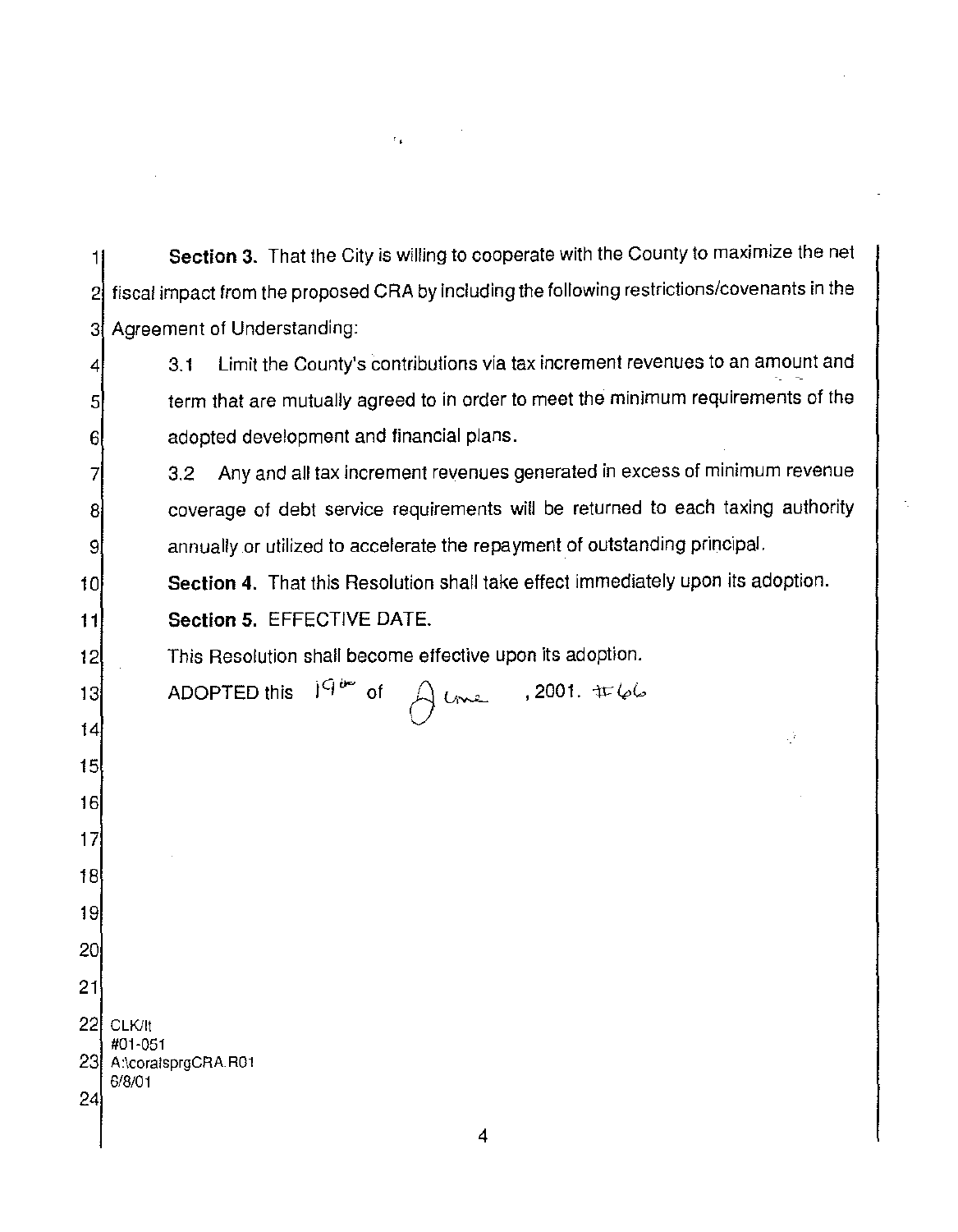| 24              | 6/8/01                                                                                       |
|-----------------|----------------------------------------------------------------------------------------------|
|                 | #01-051<br>23 A:\coralsprgCRA.R01                                                            |
| 22              | CLK/It                                                                                       |
| 21              |                                                                                              |
| 20 <sub>1</sub> |                                                                                              |
| 19              |                                                                                              |
| 18              |                                                                                              |
| 17              |                                                                                              |
| 16              |                                                                                              |
| 15              |                                                                                              |
| 14              | Ŵ                                                                                            |
| 13              | ADOPTED this $1^{Q^{i\omega}}$ of<br>$\theta$ lme , 2001. #66                                |
| 12              | This Resolution shall become effective upon its adoption.                                    |
| 11              | Section 5. EFFECTIVE DATE.                                                                   |
| 10              | Section 4. That this Resolution shall take effect immediately upon its adoption.             |
| 9               | annually or utilized to accelerate the repayment of outstanding principal.                   |
| 8               | coverage of debt service requirements will be returned to each taxing authority              |
|                 | Any and all tax increment revenues generated in excess of minimum revenue<br>3.2             |
| 6               | adopted development and financial plans.                                                     |
| 5               | term that are mutually agreed to in order to meet the minimum requirements of the            |
| 4               | Limit the County's contributions via tax increment revenues to an amount and<br>3.1          |
| 3               | Agreement of Understanding:                                                                  |
| 2               | fiscal impact from the proposed CRA by including the following restrictions/covenants in the |
|                 | Section 3. That the City is willing to cooperate with the County to maximize the net         |

 $\label{eq:3.1} \mathcal{F}_{\pmb{\Phi}}(x) = \mathcal{F}_{\pmb{\Phi}}(x) \mathcal{F}_{\pmb{\Phi}}(x)$ 

 $\label{eq:2.1} \frac{1}{\sqrt{2}}\left(\frac{1}{\sqrt{2}}\right)^{2} \left(\frac{1}{\sqrt{2}}\right)^{2} \left(\frac{1}{\sqrt{2}}\right)^{2} \left(\frac{1}{\sqrt{2}}\right)^{2} \left(\frac{1}{\sqrt{2}}\right)^{2} \left(\frac{1}{\sqrt{2}}\right)^{2} \left(\frac{1}{\sqrt{2}}\right)^{2} \left(\frac{1}{\sqrt{2}}\right)^{2} \left(\frac{1}{\sqrt{2}}\right)^{2} \left(\frac{1}{\sqrt{2}}\right)^{2} \left(\frac{1}{\sqrt{2}}\right)^{2} \left(\$ 

 $\mathcal{L}^{\text{max}}_{\text{max}}$  and  $\mathcal{L}^{\text{max}}_{\text{max}}$ 

 $\mathbb{Z}^{\mathbb{Z}}$ 

 $\gamma_{\rm c}$